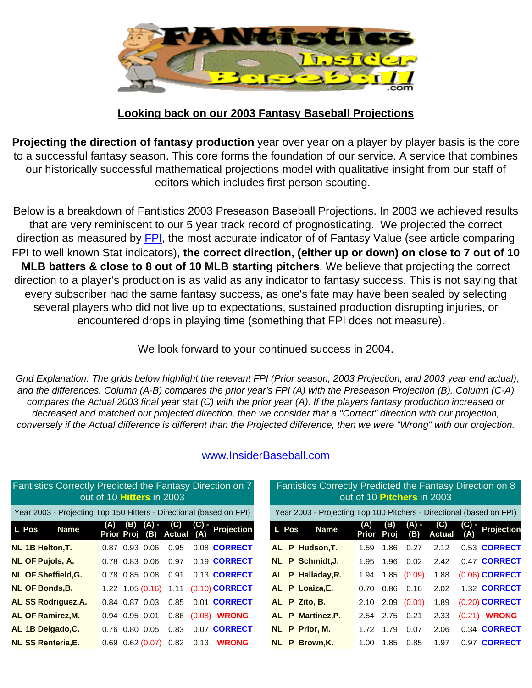

## **Looking back on our 2003 Fantasy Baseball Projections**

**Projecting the direction of fantasy production** year over year on a player by player basis is the core to a successful fantasy season. This core forms the foundation of our service. A service that combines our historically successful mathematical projections model with qualitative insight from our staff of editors which includes first person scouting.

Below is a breakdown of Fantistics 2003 Preseason Baseball Projections. In 2003 we achieved results that are very reminiscent to our 5 year track record of prognosticating. We projected the correct direction as measured by [FPI,](http://www.insiderbaseball.com/Angelo-v2.htm) the most accurate indicator of of Fantasy Value (see article comparing FPI to well known Stat indicators), **the correct direction, (either up or down) on close to 7 out of 10 MLB batters & close to 8 out of 10 MLB starting pitchers**. We believe that projecting the correct direction to a player's production is as valid as any indicator to fantasy success. This is not saying that every subscriber had the same fantasy success, as one's fate may have been sealed by selecting several players who did not live up to expectations, sustained production disrupting injuries, or encountered drops in playing time (something that FPI does not measure).

We look forward to your continued success in 2004.

*Grid Explanation: The grids below highlight the relevant FPI (Prior season, 2003 Projection, and 2003 year end actual), and the differences. Column (A-B) compares the prior year's FPI (A) with the Preseason Projection (B). Column (C-A) compares the Actual 2003 final year stat (C) with the prior year (A). If the players fantasy production increased or decreased and matched our projected direction, then we consider that a "Correct" direction with our projection, conversely if the Actual difference is different than the Projected difference, then we were "Wrong" with our projection.*

| Fantistics Correctly Predicted the Fantasy Direction on 7           | out of 10 Hitters in 2003                            |      |       |                                         |              | Fantistics Correctly Predicted the Fantasy Direction on 8            |                   |           | out of 10 Pitchers in 2003 |                      |              |                     |
|---------------------------------------------------------------------|------------------------------------------------------|------|-------|-----------------------------------------|--------------|----------------------------------------------------------------------|-------------------|-----------|----------------------------|----------------------|--------------|---------------------|
| Year 2003 - Projecting Top 150 Hitters - Directional (based on FPI) |                                                      |      |       |                                         |              | Year 2003 - Projecting Top 100 Pitchers - Directional (based on FPI) |                   |           |                            |                      |              |                     |
| L Pos<br><b>Name</b>                                                | (A) (B) (A) - (C) (C) -<br>Prior Proj (B) Actual (A) |      | (C) - | <b>Projection</b>                       | <b>L</b> Pos | <b>Name</b>                                                          | (A)<br>Prior Proj | (B)       | (A) -<br>(B)               | (C)<br><b>Actual</b> | (C) -<br>(A) | Projection          |
| NL 1B Helton, T.                                                    | 0.87 0.93 0.06                                       | 0.95 |       | 0.08 CORRECT                            |              | AL P Hudson, T.                                                      | 1.59              | 1.86      | 0.27                       | 2.12                 |              | 0.53 <b>CORRECT</b> |
| <b>NL OF Pujols, A.</b>                                             | 0.78 0.83 0.06                                       | 0.97 |       | 0.19 CORRECT                            |              | NL P Schmidt, J.                                                     | 1.95              | 1.96      | 0.02                       | 2.42                 |              | 0.47 <b>CORRECT</b> |
| <b>NL OF Sheffield.G.</b>                                           |                                                      |      |       | 0.78 0.85 0.08 0.91 0.13 CORRECT        |              | AL P Halladay, R.                                                    | 1.94              |           | $1.85$ (0.09)              | 1.88                 |              | (0.06) CORRECT      |
| <b>NL OF Bonds, B.</b>                                              |                                                      |      |       | 1.22 1.05 (0.16) 1.11 (0.10) CORRECT    |              | AL P Loaiza, E.                                                      | 0.70              | 0.86 0.16 |                            | 2.02                 |              | 1.32 <b>CORRECT</b> |
| AL SS Rodriguez, A.                                                 |                                                      |      |       | 0.84 0.87 0.03 0.85 0.01 <b>CORRECT</b> |              | AL P Zito, B.                                                        | 2.10              |           | 2.09(0.01)                 | 1.89                 |              | (0.20) CORRECT      |
| AL OF Ramirez, M.                                                   | $0.94$ 0.95 0.01                                     |      |       | 0.86 (0.08) WRONG                       |              | AL P Martinez, P.                                                    |                   | 2.54 2.75 | 0.21                       | 2.33                 | (0.21)       | <b>WRONG</b>        |
| AL 1B Delgado, C.                                                   | 0.76 0.80 0.05 0.83                                  |      |       | 0.07 CORRECT                            |              | NL P Prior, M.                                                       | 1.72              | 1.79      | 0.07                       | 2.06                 |              | 0.34 CORRECT        |
| <b>NL SS Renteria, E.</b>                                           | $0.69$ $0.62$ $(0.07)$ $0.82$                        |      | 0.13  | <b>WRONG</b>                            |              | NL P Brown, K.                                                       | 1.00              | 1.85      | 0.85                       | 1.97                 |              | 0.97 <b>CORRECT</b> |

## [www.InsiderBaseball.com](http://www.insiderbaseball.com/)

| Direction on 7                   |                                                                      | Fantistics Correctly Predicted the Fantasy Direction on 8<br>out of 10 Pitchers in 2003 |             |                 |                      |              |                     |  |  |
|----------------------------------|----------------------------------------------------------------------|-----------------------------------------------------------------------------------------|-------------|-----------------|----------------------|--------------|---------------------|--|--|
| (based on FPI)                   | Year 2003 - Projecting Top 100 Pitchers - Directional (based on FPI) |                                                                                         |             |                 |                      |              |                     |  |  |
| C) -<br>(A)<br><b>Projection</b> | L Pos<br><b>Name</b>                                                 | (A)<br><b>Prior</b>                                                                     | (B)<br>Proj | $(A)$ -<br>(B)  | (C)<br><b>Actual</b> | (C) -<br>(A) | <b>Projection</b>   |  |  |
| 0.08 CORRECT                     | AL P Hudson, T.                                                      | 1.59                                                                                    | 1.86        | 0.27            | 2.12                 |              | 0.53 CORRECT        |  |  |
| 0.19 CORRECT                     | NL P Schmidt, J.                                                     | 1.95                                                                                    | 1.96        | 0.02            | 2.42                 |              | 0.47 CORRECT        |  |  |
| 0.13 CORRECT                     | AL P Halladay, R.                                                    | 1.94                                                                                    |             | 1.85(0.09)      | 1.88                 |              | (0.06) CORRECT      |  |  |
| 0.10) CORRECT                    | AL P Loaiza, E.                                                      | 0.70                                                                                    | 0.86        | 0.16            | 2.02                 |              | 1.32 <b>CORRECT</b> |  |  |
| 0.01 CORRECT                     | AL P Zito, B.                                                        | 2.10                                                                                    |             | $2.09$ $(0.01)$ | 1.89                 |              | (0.20) CORRECT      |  |  |
| 0.08) WRONG                      | AL P Martinez, P.                                                    | 2.54                                                                                    | 2.75        | 0.21            | 2.33                 |              | (0.21) <b>WRONG</b> |  |  |
| 0.07 CORRECT                     | NL P Prior, M.                                                       | 1.72                                                                                    | 1.79        | 0.07            | 2.06                 |              | 0.34 CORRECT        |  |  |
| <b>WRONG</b><br>$0.13 -$         | NL P Brown, K.                                                       | 1.00                                                                                    | 1.85        | 0.85            | 1.97                 |              | 0.97 CORRECT        |  |  |
|                                  |                                                                      |                                                                                         |             |                 |                      |              |                     |  |  |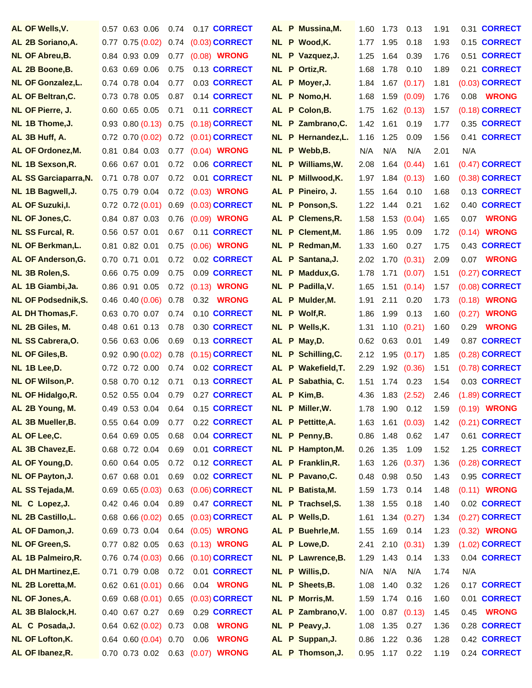| AL OF Wells, V.                              | 0.57 0.63 0.06                           | 0.74         | 0.17 CORRECT                      |     | AL P Mussina, M.                   | 1.60         | 1.73        | 0.13            | 1.91         | 0.31 CORRECT           |
|----------------------------------------------|------------------------------------------|--------------|-----------------------------------|-----|------------------------------------|--------------|-------------|-----------------|--------------|------------------------|
| AL 2B Soriano, A.                            | $0.77$ 0.75 (0.02)                       | 0.74         | $(0.03)$ CORRECT                  |     | NL P Wood, K.                      | 1.77         | 1.95        | 0.18            | 1.93         | 0.15 CORRECT           |
| <b>NL OF Abreu, B.</b>                       | 0.84 0.93 0.09                           | 0.77         | (0.08) <b>WRONG</b>               |     | NL P Vazquez, J.                   | 1.25         | 1.64        | 0.39            | 1.76         | 0.51 CORRECT           |
| AL 2B Boone, B.                              | $0.63$ $0.69$ $0.06$                     | 0.75         | 0.13 CORRECT                      |     | NL P Ortiz, R.                     | 1.68         | 1.78        | 0.10            | 1.89         | 0.21 CORRECT           |
| <b>NL OF Gonzalez, L.</b>                    | 0.74 0.78 0.04                           | 0.77         | 0.03 CORRECT                      |     | AL P Moyer, J.                     | 1.84         |             | $1.67$ $(0.17)$ | 1.81         | (0.03) CORRECT         |
| AL OF Beltran, C.                            | 0.73 0.78 0.05                           | 0.87         | 0.14 CORRECT                      |     | NL P Nomo, H.                      | 1.68         |             | 1.59 (0.09)     | 1.76         | <b>WRONG</b><br>0.08   |
| NL OF Pierre, J.                             | $0.60$ $0.65$ $0.05$                     | 0.71         | 0.11 CORRECT                      |     | AL P Colon, B.                     | 1.75         |             | $1.62$ $(0.13)$ | 1.57         | (0.18) <b>CORRECT</b>  |
| NL 1B Thome, J.                              | $0.93$ $0.80$ $(0.13)$                   | 0.75         | $(0.18)$ CORRECT                  |     | NL P Zambrano, C.                  | 1.42         | 1.61        | 0.19            | 1.77         | 0.35 CORRECT           |
| AL 3B Huff, A.                               | $0.72$ 0.70 $(0.02)$                     | 0.72         | $(0.01)$ CORRECT                  |     | NL P Hernandez, L.                 | 1.16         | 1.25        | 0.09            | 1.56         | 0.41 CORRECT           |
| AL OF Ordonez, M.                            | 0.84 0.03<br>0.81                        | 0.77         | $(0.04)$ WRONG                    |     | NL P Webb, B.                      | N/A          | N/A         | N/A             | 2.01         | N/A                    |
| NL 1B Sexson, R.                             | 0.66 0.67 0.01                           | 0.72         | 0.06 CORRECT                      |     | NL P Williams, W.                  | 2.08         |             | 1.64(0.44)      | 1.61         | $(0.47)$ CORRECT       |
| AL SS Garciaparra, N.                        | 0.78 0.07<br>0.71                        | 0.72         | 0.01 CORRECT                      | NL. | P Millwood, K.                     | 1.97         |             | $1.84$ $(0.13)$ | 1.60         | (0.38) <b>CORRECT</b>  |
| NL 1B Bagwell, J.                            | 0.75 0.79 0.04                           | 0.72         | (0.03) WRONG                      |     | AL P Pineiro, J.                   | 1.55         | 1.64        | 0.10            | 1.68         | 0.13 CORRECT           |
| AL OF Suzuki, I.                             | $0.72$ $0.72$ $(0.01)$                   | 0.69         | $(0.03)$ CORRECT                  |     | NL P Ponson, S.                    | 1.22         | 1.44        | 0.21            | 1.62         | 0.40 CORRECT           |
| NL OF Jones, C.                              | 0.84 0.87 0.03                           | 0.76         | (0.09) <b>WRONG</b>               |     | AL P Clemens, R.                   | 1.58         | 1.53        | (0.04)          | 1.65         | <b>WRONG</b><br>0.07   |
| <b>NL SS Furcal, R.</b>                      | 0.56 0.57 0.01                           | 0.67         | 0.11 CORRECT                      |     | NL P Clement, M.                   | 1.86         | 1.95        | 0.09            | 1.72         | (0.14) <b>WRONG</b>    |
| <b>NL OF Berkman, L.</b>                     | 0.81 0.82 0.01                           | 0.75         | (0.06) <b>WRONG</b>               |     | NL P Redman, M.                    | 1.33         | 1.60        | 0.27            | 1.75         | 0.43 CORRECT           |
| AL OF Anderson, G.                           | 0.70 0.71 0.01                           | 0.72         | 0.02 CORRECT                      |     | AL P Santana, J.                   | 2.02         |             | 1.70(0.31)      | 2.09         | 0.07 WRONG             |
| NL 3B Rolen, S.                              | 0.66 0.75 0.09                           | 0.75         | 0.09 CORRECT                      |     | NL P Maddux, G.                    | 1.78         | 1.71        | (0.07)          | 1.51         | (0.27) CORRECT         |
| AL 1B Giambi, Ja.                            | 0.86 0.91 0.05                           | 0.72         | $(0.13)$ WRONG                    |     | NL P Padilla, V.                   | 1.65         | 1.51        | (0.14)          | 1.57         | (0.08) <b>CORRECT</b>  |
| <b>NL OF Podsednik, S.</b>                   | $0.46$ $0.40$ $(0.06)$                   | 0.78         | 0.32 <b>WRONG</b>                 |     | AL P Mulder, M.                    | 1.91         | 2.11        | 0.20            | 1.73         | (0.18) <b>WRONG</b>    |
| AL DH Thomas, F.                             | 0.63 0.70 0.07                           | 0.74         | 0.10 CORRECT                      |     | NL P Wolf, R.                      | 1.86         | 1.99        | 0.13            | 1.60         | <b>WRONG</b><br>(0.27) |
| NL 2B Giles, M.                              | 0.48 0.61 0.13                           | 0.78         | 0.30 CORRECT                      |     | NL P Wells, K.                     | 1.31         |             | 1.10(0.21)      | 1.60         | <b>WRONG</b><br>0.29   |
| NL SS Cabrera, O.                            | 0.56 0.63 0.06                           | 0.69         | 0.13 CORRECT                      |     | AL P May, D.                       | 0.62         | 0.63        | 0.01            | 1.49         | 0.87 CORRECT           |
| <b>NL OF Giles, B.</b>                       | $0.92$ $0.90$ $(0.02)$                   | 0.78         | $(0.15)$ CORRECT                  |     | NL P Schilling, C.                 | 2.12         | 1.95        | (0.17)          | 1.85         | (0.28) CORRECT         |
| NL 1B Lee, D.                                | 0.72 0.72 0.00                           | 0.74         | 0.02 CORRECT                      |     | AL P Wakefield, T.                 | 2.29         |             | 1.92(0.36)      | 1.51         | (0.78) CORRECT         |
| NL OF Wilson, P.                             | $0.58$ 0.70 0.12                         | 0.71         | 0.13 CORRECT                      |     | AL P Sabathia, C.                  | 1.51         | 1.74        | 0.23            | 1.54         | 0.03 CORRECT           |
| <b>NL OF Hidalgo, R.</b>                     | 0.52 0.55 0.04                           | 0.79         | 0.27 CORRECT                      |     | AL P Kim, B.                       | 4.36         |             | $1.83$ $(2.52)$ | 2.46         | (1.89) CORRECT         |
| AL 2B Young, M.                              | 0.49 0.53 0.04                           | 0.64         | 0.15 CORRECT                      |     | NL P Miller.W.                     | 1.78         | 1.90        | 0.12            | 1.59         | (0.19) <b>WRONG</b>    |
| AL 3B Mueller, B.                            | 0.55 0.64 0.09                           | 0.77         | 0.22 CORRECT                      |     | AL P Pettitte, A.                  | 1.63         |             | $1.61$ (0.03)   | 1.42         | (0.21) <b>CORRECT</b>  |
| AL OF Lee, C.                                | 0.64 0.69 0.05                           | 0.68         | 0.04 CORRECT                      |     | NL P Penny, B.                     | 0.86         | 1.48        | 0.62            | 1.47         | 0.61 CORRECT           |
| AL 3B Chavez, E.                             | 0.68 0.72 0.04                           | 0.69         | 0.01 CORRECT                      |     | NL P Hampton, M.                   | 0.26         | 1.35        | 1.09            | 1.52         | 1.25 CORRECT           |
| AL OF Young, D.                              | 0.60 0.64 0.05                           | 0.72         | 0.12 CORRECT                      |     | AL P Franklin, R.                  | 1.63         | 1.26        | (0.37)          | 1.36         | (0.28) CORRECT         |
| NL OF Payton, J.                             | 0.67 0.68 0.01                           | 0.69         | 0.02 CORRECT                      |     | NL P Pavano, C.                    | 0.48         | 0.98        | 0.50            | 1.43         | 0.95 CORRECT           |
| AL SS Tejada, M.                             | $0.69$ $0.65$ $(0.03)$                   | 0.63         | $(0.06)$ CORRECT                  |     | NL P Batista, M.                   | 1.59         | 1.73        | 0.14            | 1.48         | (0.11) <b>WRONG</b>    |
| NL C Lopez, J.                               | 0.42 0.46 0.04                           | 0.89         | 0.47 CORRECT                      |     | NL P Trachsel, S.                  | 1.38         | 1.55        | 0.18            | 1.40         | 0.02 CORRECT           |
| <b>NL 2B Castillo, L.</b>                    | $0.68$ $0.66$ $(0.02)$                   | 0.65         | $(0.03)$ CORRECT                  |     | AL P Wells, D.                     | 1.61         |             | 1.34(0.27)      | 1.34         | (0.27) <b>CORRECT</b>  |
| AL OF Damon, J.                              | 0.69 0.73 0.04                           | 0.64         | $(0.05)$ WRONG                    |     | AL P Buehrle, M.                   | 1.55         | 1.69        | 0.14            | 1.23         | (0.32) <b>WRONG</b>    |
| <b>NL OF Green, S.</b><br>AL 1B Palmeiro, R. | 0.77 0.82 0.05                           |              | 0.63 (0.13) WRONG                 |     | AL P Lowe, D.                      | 2.41         |             | 2.10(0.31)      | 1.39         | (1.02) CORRECT         |
|                                              | $0.76$ $0.74$ $(0.03)$                   | 0.66         | $(0.10)$ CORRECT                  |     | NL P Lawrence, B.                  | 1.29         | 1.43        | 0.14            | 1.33         | 0.04 CORRECT           |
| AL DH Martinez, E.<br>NL 2B Loretta, M.      | 0.71 0.79 0.08<br>$0.62$ $0.61$ $(0.01)$ | 0.72<br>0.66 | 0.01 CORRECT<br>0.04 <b>WRONG</b> |     | NL P Willis, D.                    | N/A          | N/A<br>1.40 | N/A             | 1.74         | N/A<br>0.17 CORRECT    |
| NL OF Jones, A.                              | $0.69$ $0.68$ $(0.01)$                   | 0.65         | $(0.03)$ CORRECT                  |     | NL P Sheets, B.<br>NL P Morris, M. | 1.08<br>1.59 | 1.74        | 0.32<br>0.16    | 1.26<br>1.60 | 0.01 CORRECT           |
| AL 3B Blalock, H.                            | 0.40 0.67 0.27                           | 0.69         | 0.29 CORRECT                      |     | AL P Zambrano, V.                  | 1.00         |             | $0.87$ $(0.13)$ | 1.45         | <b>WRONG</b><br>0.45   |
| AL C Posada, J.                              | $0.64$ $0.62$ $(0.02)$                   | 0.73         | <b>WRONG</b><br>0.08              |     | NL P Peavy, J.                     | 1.08         | 1.35        | 0.27            | 1.36         | 0.28 CORRECT           |
| <b>NL OF Lofton, K.</b>                      | $0.64$ $0.60$ $(0.04)$                   | 0.70         | <b>WRONG</b><br>0.06              |     | AL P Suppan, J.                    | 0.86         | 1.22        | 0.36            | 1.28         | 0.42 CORRECT           |
| AL OF Ibanez, R.                             | 0.70 0.73 0.02                           |              | 0.63 (0.07) WRONG                 |     | AL P Thomson, J.                   | 0.95         | 1.17        | 0.22            | 1.19         | 0.24 CORRECT           |
|                                              |                                          |              |                                   |     |                                    |              |             |                 |              |                        |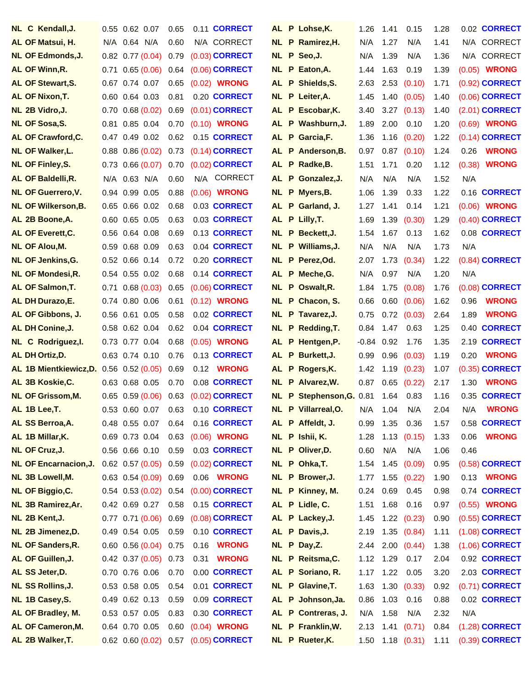| NL C Kendall, J.                                | $0.55$ 0.62 0.07                 | 0.65 | 0.11 CORRECT                         |     | AL P Lohse, K.                      | 1.26    | 1.41 | 0.15                   |              | 0.02 CORRECT           |
|-------------------------------------------------|----------------------------------|------|--------------------------------------|-----|-------------------------------------|---------|------|------------------------|--------------|------------------------|
| AL OF Matsui, H.                                | N/A 0.64 N/A                     | 0.60 | N/A CORRECT                          |     | NL P Ramirez, H.                    | N/A     | 1.27 | N/A                    | 1.28<br>1.41 | N/A CORRECT            |
| <b>NL OF Edmonds, J.</b>                        | $0.82$ 0.77 (0.04)               | 0.79 | $(0.03)$ CORRECT                     |     | NL P Seo, J.                        | N/A     | 1.39 | N/A                    | 1.36         | N/A CORRECT            |
| AL OF Winn, R.                                  | 0.65(0.06)<br>0.71               | 0.64 | <b>(0.06) CORRECT</b>                |     | NL P Eaton, A.                      | 1.44    | 1.63 | 0.19                   | 1.39         | (0.05) WRONG           |
| <b>AL OF Stewart, S.</b>                        | 0.67 0.74 0.07                   | 0.65 | (0.02) <b>WRONG</b>                  |     | AL P Shields, S.                    | 2.63    |      | $2.53$ $(0.10)$        | 1.71         | (0.92) CORRECT         |
| AL OF Nixon, T.                                 | $0.60$ $0.64$ $0.03$             | 0.81 | 0.20 CORRECT                         |     | NL P Leiter, A.                     | 1.45    |      | 1.40(0.05)             | 1.40         | (0.06) CORRECT         |
| NL 2B Vidro, J.                                 | $0.70$ $0.68$ $(0.02)$           | 0.69 | $(0.01)$ CORRECT                     |     | AL P Escobar, K.                    | 3.40    |      | $3.27$ $(0.13)$        | 1.40         | (2.01) <b>CORRECT</b>  |
| NL OF Sosa, S.                                  | 0.81 0.85 0.04                   | 0.70 | $(0.10)$ WRONG                       |     | AL P Washburn, J.                   | 1.89    | 2.00 | 0.10                   | 1.20         | (0.69) <b>WRONG</b>    |
| AL OF Crawford, C.                              | $0.47$ 0.49 0.02                 | 0.62 | 0.15 CORRECT                         |     | AL P Garcia, F.                     | 1.36    | 1.16 | (0.20)                 | 1.22         | (0.14) <b>CORRECT</b>  |
| NL OF Walker, L.                                | $0.88$ $0.86$ $(0.02)$           | 0.73 | $(0.14)$ CORRECT                     |     | AL P Anderson, B.                   | 0.97    |      | $0.87$ $(0.10)$        | 1.24         | <b>WRONG</b><br>0.26   |
| <b>NL OF Finley, S.</b>                         | $0.73$ 0.66 $(0.07)$             | 0.70 | $(0.02)$ CORRECT                     |     | AL P Radke, B.                      | 1.51    | 1.71 | 0.20                   | 1.12         | <b>WRONG</b><br>(0.38) |
|                                                 | 0.63 N/A<br>N/A                  | 0.60 | N/A CORRECT                          |     |                                     | N/A     | N/A  | N/A                    | 1.52         | N/A                    |
| AL OF Baldelli, R.<br><b>NL OF Guerrero, V.</b> | 0.94 0.99 0.05                   | 0.88 | (0.06) <b>WRONG</b>                  |     | AL P Gonzalez, J.<br>NL P Myers, B. | 1.06    | 1.39 | 0.33                   | 1.22         | 0.16 CORRECT           |
| <b>NL OF Wilkerson, B.</b>                      | $0.65$ $0.66$ $0.02$             | 0.68 | 0.03 <b>CORRECT</b>                  |     | AL P Garland, J.                    | 1.27    | 1.41 | 0.14                   | 1.21         | (0.06) WRONG           |
|                                                 | $0.60$ $0.65$ $0.05$             | 0.63 | 0.03 CORRECT                         |     |                                     |         |      |                        | 1.29         | (0.40) <b>CORRECT</b>  |
| AL 2B Boone, A.                                 |                                  |      |                                      |     | AL P Lilly, T.                      | 1.69    | 1.39 | (0.30)                 |              | 0.08 CORRECT           |
| AL OF Everett, C.                               | 0.56 0.64 0.08<br>0.59 0.68 0.09 | 0.69 | 0.13 CORRECT                         |     | NL P Beckett, J.                    | 1.54    | 1.67 | 0.13                   | 1.62         |                        |
| <b>NL OF Alou, M.</b>                           |                                  | 0.63 | 0.04 CORRECT                         |     | NL P Williams, J.                   | N/A     | N/A  | N/A                    | 1.73         | N/A                    |
| <b>NL OF Jenkins, G.</b>                        | $0.52$ 0.66 0.14                 | 0.72 | 0.20 CORRECT<br>0.14 CORRECT         |     | NL P Perez, Od.                     | 2.07    | 1.73 | (0.34)                 | 1.22         | (0.84) CORRECT         |
| <b>NL OF Mondesi, R.</b>                        | $0.54$ 0.55 0.02                 | 0.68 |                                      |     | AL P Meche, G.                      | N/A     | 0.97 | N/A                    | 1.20         | N/A                    |
| AL OF Salmon, T.                                | 0.68(0.03)<br>0.71               | 0.65 | $(0.06)$ CORRECT                     |     | NL P Oswalt, R.                     | 1.84    | 1.75 | (0.08)                 | 1.76         | (0.08) <b>CORRECT</b>  |
| AL DH Durazo, E.                                | 0.74 0.80 0.06                   | 0.61 | (0.12) <b>WRONG</b>                  |     | NL P Chacon, S.                     | 0.66    |      | $0.60$ $(0.06)$        | 1.62         | <b>WRONG</b><br>0.96   |
| AL OF Gibbons, J.                               | $0.56$ $0.61$ $0.05$             | 0.58 | 0.02 CORRECT                         |     | NL P Tavarez, J.                    | 0.75    |      | $0.72$ $(0.03)$        | 2.64         | <b>WRONG</b><br>1.89   |
| AL DH Conine, J.                                | $0.58$ 0.62 0.04                 | 0.62 | 0.04 CORRECT                         |     | NL P Redding, T.                    | 0.84    | 1.47 | 0.63                   | 1.25         | 0.40 CORRECT           |
| NL C Rodriguez, I.                              | 0.73 0.77 0.04                   | 0.68 | $(0.05)$ WRONG                       |     | AL P Hentgen, P.                    | $-0.84$ | 0.92 | 1.76                   | 1.35         | 2.19 <b>CORRECT</b>    |
| AL DH Ortiz, D.                                 | 0.63 0.74 0.10                   | 0.76 | 0.13 CORRECT                         |     | AL P Burkett, J.                    | 0.99    |      | $0.96$ $(0.03)$        | 1.19         | <b>WRONG</b><br>0.20   |
| <b>AL 1B Mientkiewicz, D. 0.56 0.52 (0.05)</b>  |                                  | 0.69 | 0.12 <b>WRONG</b>                    |     | AL P Rogers, K.                     | 1.42    |      | 1.19(0.23)             | 1.07         | (0.35) <b>CORRECT</b>  |
| AL 3B Koskie, C.                                | 0.63 0.68 0.05                   | 0.70 | 0.08 CORRECT                         |     | NL P Alvarez, W.                    | 0.87    |      | $0.65$ $(0.22)$        | 2.17         | <b>WRONG</b><br>1.30   |
| <b>NL OF Grissom, M.</b>                        | $0.65$ $0.59$ $(0.06)$           | 0.63 | $(0.02)$ CORRECT                     | NL. | P Stephenson, G. 0.81               |         | 1.64 | 0.83                   | 1.16         | 0.35 CORRECT           |
| AL 1B Lee, T.                                   | 0.53 0.60 0.07                   | 0.63 | 0.10 CORRECT                         |     | NL P Villarreal, O.                 | N/A     | 1.04 | N/A                    | 2.04         | <b>WRONG</b><br>N/A    |
| AL SS Berroa, A.                                | 0.48 0.55 0.07                   | 0.64 | 0.16 <b>CORRECT</b>                  |     | AL P Affeldt, J.                    | 0.99    |      | 1.35 0.36              | 1.57         | 0.58 CORRECT           |
| AL 1B Millar, K.                                | 0.69 0.73 0.04                   | 0.63 | (0.06) WRONG                         |     | NL P Ishii, K.                      | 1.28    |      | $1.13$ $(0.15)$        | 1.33         | <b>WRONG</b><br>0.06   |
| NL OF Cruz, J.                                  | 0.56 0.66 0.10                   | 0.59 | 0.03 CORRECT                         |     | NL P Oliver, D.                     | 0.60    | N/A  | N/A                    | 1.06         | 0.46                   |
| <b>NL OF Encarnacion, J.</b>                    | $0.62$ $0.57$ $(0.05)$           | 0.59 | $(0.02)$ CORRECT                     |     | NL P Ohka, T.                       | 1.54    |      | 1.45(0.09)             | 0.95         | $(0.58)$ CORRECT       |
| NL 3B Lowell, M.                                | $0.63$ $0.54$ $(0.09)$           | 0.69 | 0.06 <b>WRONG</b>                    |     | NL P Brower, J.                     | 1.77    |      | 1.55(0.22)             | 1.90         | 0.13 <b>WRONG</b>      |
| <b>NL OF Biggio, C.</b>                         | $0.54$ $0.53$ $(0.02)$           | 0.54 | $(0.00)$ CORRECT                     |     | NL P Kinney, M.                     | 0.24    |      | 0.69 0.45              | 0.98         | 0.74 CORRECT           |
| NL 3B Ramirez, Ar.                              | 0.42 0.69 0.27                   | 0.58 | 0.15 CORRECT                         |     | AL P Lidle, C.                      | 1.51    |      | 1.68 0.16              | 0.97         | $(0.55)$ WRONG         |
| NL 2B Kent, J.                                  | $0.77$ 0.71 $(0.06)$             | 0.69 | $(0.08)$ CORRECT                     |     | AL P Lackey, J.                     | 1.45    |      | $1.22$ $(0.23)$        | 0.90         | $(0.55)$ CORRECT       |
| NL 2B Jimenez, D.                               | 0.49 0.54 0.05                   | 0.59 | 0.10 CORRECT                         |     | AL P Davis, J.                      | 2.19    |      | 1.35(0.84)             | 1.11         | (1.08) CORRECT         |
| <b>NL OF Sanders, R.</b>                        | $0.60$ $0.56$ $(0.04)$           | 0.75 | 0.16 <b>WRONG</b>                    |     | NL P Day, Z.                        |         |      | $2.44$ $2.00$ $(0.44)$ | 1.38         | $(1.06)$ CORRECT       |
| AL OF Guillen, J.                               | $0.42$ 0.37 (0.05)               | 0.73 | 0.31<br><b>WRONG</b>                 |     | NL P Reitsma, C.                    | 1.12    |      | 1.29 0.17              | 2.04         | 0.92 CORRECT           |
| AL SS Jeter, D.                                 | 0.70 0.76 0.06                   | 0.70 | 0.00 CORRECT                         |     | AL P Soriano, R.                    | 1.17    |      | 1.22 0.05              | 3.20         | 2.03 CORRECT           |
| <b>NL SS Rollins, J.</b>                        | 0.53 0.58 0.05                   | 0.54 | 0.01 CORRECT                         |     | NL P Glavine, T.                    | 1.63    |      | 1.30(0.33)             | 0.92         | (0.71) <b>CORRECT</b>  |
| NL 1B Casey, S.                                 | 0.49 0.62 0.13                   | 0.59 | 0.09 CORRECT                         |     | AL P Johnson, Ja.                   | 0.86    |      | 1.03 0.16              | 0.88         | 0.02 CORRECT           |
| AL OF Bradley, M.                               | 0.53 0.57 0.05                   | 0.83 | 0.30 CORRECT                         |     | AL P Contreras, J.                  | N/A     | 1.58 | N/A                    | 2.32         | N/A                    |
| AL OF Cameron, M.                               | 0.64 0.70 0.05                   | 0.60 | (0.04) <b>WRONG</b>                  |     | NL P Franklin, W.                   | 2.13    |      | 1.41(0.71)             | 0.84         | (1.28) <b>CORRECT</b>  |
| AL 2B Walker, T.                                |                                  |      | 0.62 0.60 (0.02) 0.57 (0.05) CORRECT |     | NL P Rueter, K.                     |         |      | $1.50$ $1.18$ $(0.31)$ | 1.11         | $(0.39)$ CORRECT       |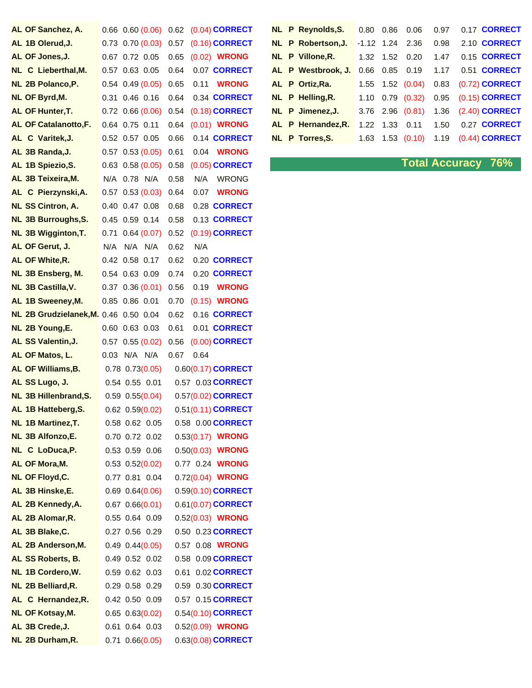| AL OF Sanchez, A.                     | 0.66 |                   | 0.60(0.06)             | 0.62 |      | $(0.04)$ CORRECT         |
|---------------------------------------|------|-------------------|------------------------|------|------|--------------------------|
| AL 1B Olerud, J.                      |      |                   | $0.73$ $0.70$ $(0.03)$ | 0.57 |      | $(0.16)$ CORRECT         |
| AL OF Jones, J.                       | 0.67 |                   | 0.72 0.05              | 0.65 |      | (0.02) <b>WRONG</b>      |
| NL C Lieberthal, M.                   |      |                   | 0.57 0.63 0.05         | 0.64 |      | 0.07 CORRECT             |
| NL 2B Polanco, P.                     |      |                   | $0.54$ $0.49$ $(0.05)$ | 0.65 | 0.11 | <b>WRONG</b>             |
| NL OF Byrd, M.                        | 0.31 |                   | $0.46$ $0.16$          | 0.64 |      | 0.34 CORRECT             |
| AL OF Hunter, T.                      |      |                   | $0.72$ 0.66 $(0.06)$   | 0.54 |      | (0.18) CORRECT           |
| <b>AL OF Catalanotto, F.</b>          | 0.64 |                   | $0.75$ 0.11            | 0.64 |      | (0.01) <b>WRONG</b>      |
| AL C Varitek, J.                      |      | 0.52 0.57 0.05    |                        | 0.66 |      | 0.14 <b>CORRECT</b>      |
| AL 3B Randa, J.                       | 0.57 |                   | 0.53(0.05)             | 0.61 |      | 0.04 <b>WRONG</b>        |
| AL 1B Spiezio, S.                     | 0.63 |                   | 0.58(0.05)             | 0.58 |      | $(0.05)$ CORRECT         |
| AL 3B Teixeira, M.                    | N/A  |                   | 0.78 N/A               | 0.58 |      | N/A WRONG                |
| AL C Pierzynski, A.                   | 0.57 |                   | 0.53(0.03)             | 0.64 | 0.07 | <b>WRONG</b>             |
| <b>NL SS Cintron, A.</b>              |      |                   | 0.40 0.47 0.08         | 0.68 |      | 0.28 CORRECT             |
| <b>NL 3B Burroughs, S.</b>            |      |                   | 0.45 0.59 0.14         | 0.58 |      | 0.13 CORRECT             |
| <b>NL 3B Wigginton, T.</b>            | 0.71 |                   | 0.64(0.07)             | 0.52 |      | (0.19) CORRECT           |
| AL OF Gerut, J.                       |      | $N/A$ $N/A$ $N/A$ |                        | 0.62 | N/A  |                          |
| AL OF White, R.                       | 0.42 |                   | 0.58 0.17              | 0.62 |      | 0.20 CORRECT             |
| NL 3B Ensberg, M.                     |      | 0.54 0.63 0.09    |                        | 0.74 |      | 0.20 CORRECT             |
| NL 3B Castilla, V.                    | 0.37 |                   | 0.36(0.01)             | 0.56 |      | 0.19 <b>WRONG</b>        |
| AL 1B Sweeney, M.                     |      | 0.85 0.86 0.01    |                        | 0.70 |      | $(0.15)$ WRONG           |
| NL 2B Grudzielanek, M. 0.46 0.50 0.04 |      |                   |                        | 0.62 |      | 0.16 CORRECT             |
| NL 2B Young, E.                       | 0.60 |                   | $0.63$ $0.03$          | 0.61 |      | 0.01 CORRECT             |
| AL SS Valentin, J.                    | 0.57 |                   | 0.55(0.02)             | 0.56 |      | $(0.00)$ CORRECT         |
| AL OF Matos, L.                       | 0.03 | N/A N/A           |                        | 0.67 | 0.64 |                          |
| AL OF Williams, B.                    |      |                   | $0.78$ $0.73(0.05)$    |      |      | $0.60(0.17)$ CORRECT     |
| AL SS Lugo, J.                        |      |                   | 0.54 0.55 0.01         |      |      | 0.57 0.03 CORRECT        |
| <b>NL 3B Hillenbrand, S.</b>          |      |                   | $0.59$ $0.55(0.04)$    |      |      | 0.57(0.02) CORRECT       |
| AL 1B Hatteberg, S.                   |      |                   | $0.62$ $0.59(0.02)$    |      |      | 0.51(0.11) CORRECT       |
| NL 1B Martinez, T.                    |      |                   | 0.58 0.62 0.05         |      |      | 0.58 0.00 <b>CORRECT</b> |
| NL 3B Alfonzo,E.                      |      |                   | 0.70 0.72 0.02         |      |      | 0.53(0.17) WRONG         |
| NL C LoDuca, P.                       |      |                   | 0.53 0.59 0.06         |      |      | 0.50(0.03) WRONG         |
| AL OF Mora, M.                        |      |                   | $0.53$ $0.52(0.02)$    |      |      | 0.77 0.24 WRONG          |
| <b>NL OF Floyd, C.</b>                |      |                   | 0.77 0.81 0.04         |      |      | 0.72(0.04) WRONG         |
| AL 3B Hinske, E.                      |      |                   | $0.69$ $0.64(0.06)$    |      |      | 0.59(0.10) CORRECT       |
| AL 2B Kennedy, A.                     |      |                   | $0.67$ $0.66(0.01)$    |      |      | 0.61(0.07) CORRECT       |
| AL 2B Alomar, R.                      |      |                   | 0.55 0.64 0.09         |      |      | 0.52(0.03) WRONG         |
| AL 3B Blake, C.                       |      |                   | $0.27$ 0.56 0.29       |      |      | 0.50 0.23 CORRECT        |
| AL 2B Anderson, M.                    |      |                   | $0.49$ $0.44(0.05)$    |      |      | 0.57 0.08 WRONG          |
| AL SS Roberts, B.                     |      |                   | 0.49 0.52 0.02         |      |      | 0.58 0.09 CORRECT        |
| NL 1B Cordero, W.                     |      |                   | 0.59 0.62 0.03         | 0.61 |      | 0.02 CORRECT             |
| NL 2B Belliard, R.                    |      |                   | 0.29 0.58 0.29         |      |      | 0.59 0.30 <b>CORRECT</b> |
| AL C Hernandez, R.                    |      |                   | 0.42 0.50 0.09         |      |      | 0.57 0.15 CORRECT        |
| <b>NL OF Kotsay, M.</b>               |      |                   | $0.65$ $0.63(0.02)$    |      |      | 0.54(0.10) CORRECT       |
| AL 3B Crede, J.                       |      |                   | 0.61 0.64 0.03         |      |      | 0.52(0.09) WRONG         |
| NL 2B Durham, R.                      |      |                   | $0.71$ $0.66(0.05)$    |      |      | 0.63(0.08) CORRECT       |

| AL OF Sanchez, A.            |                                                                                                                                                                                                                                                                                                                                                                                      | 0.66 0.60 (0.06) 0.62 (0.04) CORRECT    |  |                    |  |  | NL P Reynolds, S. 0.80 0.86 0.06 0.97 0.17 CORRECT |
|------------------------------|--------------------------------------------------------------------------------------------------------------------------------------------------------------------------------------------------------------------------------------------------------------------------------------------------------------------------------------------------------------------------------------|-----------------------------------------|--|--------------------|--|--|----------------------------------------------------|
| AL 1B Olerud, J.             |                                                                                                                                                                                                                                                                                                                                                                                      | 0.73 0.70 (0.03) 0.57 (0.16) CORRECT    |  | NL P Robertson, J. |  |  | -1.12 1.24 2.36 0.98 2.10 <b>CORRECT</b>           |
| AL OF Jones, J.              | 0.67 0.72 0.05 0.65 (0.02) WRONG                                                                                                                                                                                                                                                                                                                                                     |                                         |  | NL P Villone, R.   |  |  | 1.32  1.52  0.20  1.47  0.15  CORRECT              |
| NL C Lieberthal, M.          |                                                                                                                                                                                                                                                                                                                                                                                      | 0.57 0.63 0.05 0.64 0.07 <b>CORRECT</b> |  | AL P Westbrook, J. |  |  | 0.66  0.85  0.19  1.17  0.51  CORRECT              |
| NL 2B Polanco, P.            | 0.54 0.49 (0.05) 0.65 0.11 WRONG                                                                                                                                                                                                                                                                                                                                                     |                                         |  | AL P Ortiz, Ra.    |  |  | 1.55  1.52  (0.04)  0.83  (0.72)  CORRECT          |
| NL OF Byrd, M.               |                                                                                                                                                                                                                                                                                                                                                                                      | 0.31 0.46 0.16 0.64 0.34 CORRECT        |  | NL P Helling, R.   |  |  | 1.10 0.79 (0.32) 0.95 (0.15) <b>CORRECT</b>        |
| <b>AL OF Hunter.T.</b>       |                                                                                                                                                                                                                                                                                                                                                                                      | 0.72 0.66 (0.06) 0.54 (0.18) CORRECT    |  | NL P Jimenez.J.    |  |  | 3.76 2.96 (0.81) 1.36 (2.40) CORRECT               |
| <b>AL OF Catalanotto, F.</b> |                                                                                                                                                                                                                                                                                                                                                                                      | 0.64 0.75 0.11 0.64 (0.01) WRONG        |  | AL P Hernandez.R.  |  |  | 1.22  1.33  0.11  1.50  0.27  CORRECT              |
| AL C Varitek, J.             |                                                                                                                                                                                                                                                                                                                                                                                      | 0.52 0.57 0.05 0.66 0.14 CORRECT        |  | NL P Torres.S.     |  |  | 1.63  1.53  (0.10)  1.19  (0.44) CORRECT           |
| $AD = B = A + I$             | $\overline{O}$ $\overline{P}$ $\overline{P}$ $\overline{O}$ $\overline{O}$ $\overline{O}$ $\overline{P}$ $\overline{O}$ $\overline{O}$ $\overline{O}$ $\overline{O}$ $\overline{O}$ $\overline{O}$ $\overline{O}$ $\overline{O}$ $\overline{O}$ $\overline{O}$ $\overline{O}$ $\overline{O}$ $\overline{O}$ $\overline{O}$ $\overline{O}$ $\overline{O}$ $\overline{O}$ $\overline{$ |                                         |  |                    |  |  |                                                    |

**ALCOMBLE 188 10.58 Total Accuracy 76%**